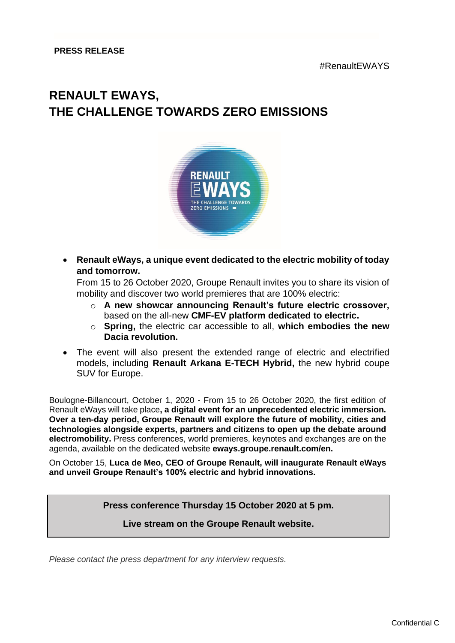## **RENAULT EWAYS, THE CHALLENGE TOWARDS ZERO EMISSIONS**



• **Renault eWays, a unique event dedicated to the electric mobility of today and tomorrow.** 

From 15 to 26 October 2020, Groupe Renault invites you to share its vision of mobility and discover two world premieres that are 100% electric:

- o **A new showcar announcing Renault's future electric crossover,** based on the all-new **CMF-EV platform dedicated to electric.**
- o **Spring,** the electric car accessible to all, **which embodies the new Dacia revolution.**
- The event will also present the extended range of electric and electrified models, including **Renault Arkana E-TECH Hybrid,** the new hybrid coupe SUV for Europe.

Boulogne-Billancourt, October 1, 2020 - From 15 to 26 October 2020, the first edition of Renault eWays will take place**, a digital event for an unprecedented electric immersion. Over a ten-day period, Groupe Renault will explore the future of mobility, cities and technologies alongside experts, partners and citizens to open up the debate around electromobility.** Press conferences, world premieres, keynotes and exchanges are on the agenda, available on the dedicated website **eways.groupe.renault.com/en.**

On October 15, **Luca de Meo, CEO of Groupe Renault, will inaugurate Renault eWays and unveil Groupe Renault's 100% electric and hybrid innovations.**

**Press conference Thursday 15 October 2020 at 5 pm.**

**Live stream on the Groupe Renault website.**

*Please contact the press department for any interview requests.*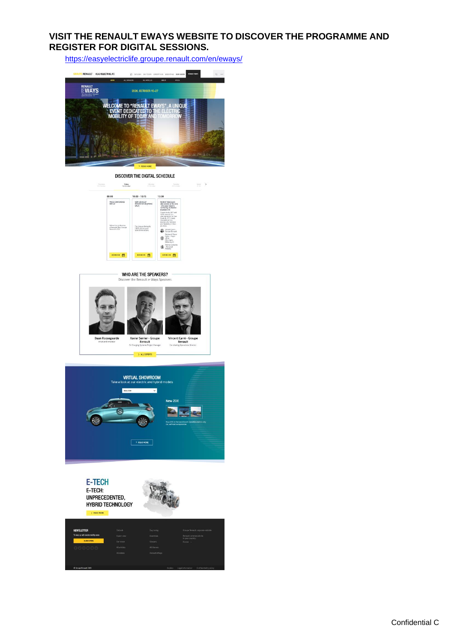## **VISIT THE RENAULT EWAYS WEBSITE TO DISCOVER THE PROGRAMME AND REGISTER FOR DIGITAL SESSIONS.**

 $\lim_{n\to\infty} \quad \Rightarrow \quad$ 

<https://easyelectriclife.groupe.renault.com/en/eways/>



DISCOVER THE DIGITAL SCHEDULE Priday<br>16 October Hireday<br>Williams Torstey<br>20 October 08:00 10:00 - 10:15 13:30 PRESS CO ROUND TABLE<br>Q6A session<br>- Zity case / el<br>carsharing: at NEW VEHICLES'<br>PRESENTATION (PRESS<br>ONLY)



WHO ARE THE SPEAKERS? Disc ays Speakers